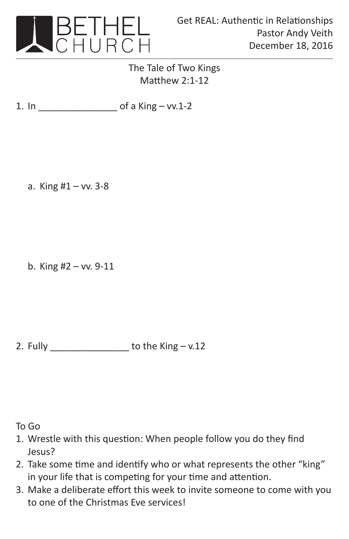

## The Tale of Two Kings Matthew 2:1-12

1. In \_\_\_\_\_\_\_\_\_\_\_\_\_\_\_ of a King – vv.1-2

a. King #1 – vv. 3-8

b. King #2 – vv. 9-11

2. Fully  $\qquad \qquad$  to the King – v.12

To Go

- 1. Wrestle with this question: When people follow you do they find Jesus?
- 2. Take some time and identify who or what represents the other "king" in your life that is competing for your time and attention.
- 3. Make a deliberate effort this week to invite someone to come with you to one of the Christmas Eve services!